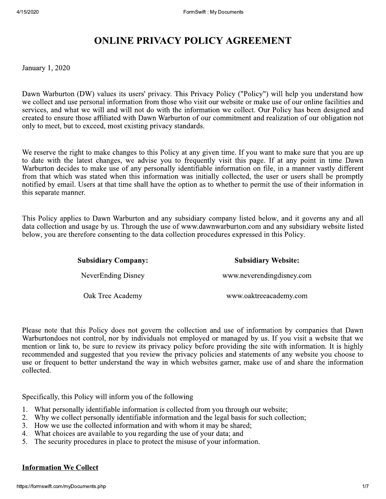January 1, 2020

FormSwift: My Documents<br> **ONLINE PRIVACY POLICY AGREEMENT**<br>
0<br>
0<br>
con (DW) values its users' privacy. This Privacy Policy ("Policy") will help you<br>
use personal information from those who visit our website or make use of o Dawn Warburton (DW) values its users' privacy. This Privacy Policy ("Policy") will help you understand how we collect and use personal information from those who visit our website or make use of our online facilities and services, and what we will and will not do with the information we collect. Our Policy has been designed and created to ensure those affiliated with Dawn Warburton of our commitment and realization of our obligation not only to meet, but to exceed, most existing privacy standards.

We reserve the right to make changes to this Policy at any given time. If you want to make sure that you are up to date with the latest changes, we advise you to frequently visit this page. If at any point in time Dawn Warburton decides to make use of any personally identifiable information on file, in a manner vastly different from that which was stated when this information was initially collected, the user or users shall be promptly notified by email. Users at that time shall have the option as to whether to permit the use of their information in this separate manner.

This Policy applies to Dawn Warburton and any subsidiary company listed below, and it governs any and all data collection and usage by us. Through the use of www.dawnwarburton.com and any subsidiary website listed below, you are therefore consenting to the data collection procedures expressed in this Policy.

| eparate manner.                                                                                                                                                                                                                                                               |                            |
|-------------------------------------------------------------------------------------------------------------------------------------------------------------------------------------------------------------------------------------------------------------------------------|----------------------------|
| Policy applies to Dawn Warburton and any subsidiary company listed below, and it gove<br>collection and usage by us. Through the use of www.dawnwarburton.com and any subsidiar<br>, you are therefore consenting to the data collection procedures expressed in this Policy. |                            |
| <b>Subsidiary Company:</b>                                                                                                                                                                                                                                                    | <b>Subsidiary Website:</b> |
| NeverEnding Disney                                                                                                                                                                                                                                                            | www.neverendingdisney.com  |
| Oak Tree Academy                                                                                                                                                                                                                                                              | www.oaktreeacademy.com     |
|                                                                                                                                                                                                                                                                               |                            |
| e note that this Policy does not govern the collection and use of information by compa<br>extended not control non by individuals not employed or menegod by us. If you visit a                                                                                               |                            |

Please note that this Policy does not govern the collection and use of information by companies that Dawn Warburtondoes not control, nor by individuals not employed or managed by us. If you visit a website that we mention or link to, be sure to review its privacy policy before providing the site with information. It is highly recommended and suggested that you review the privacy policies and statements of any website you choose to use or frequent to better understand the way in which websites garner, make use of and share the information collected.

Specifically, this Policy will inform you of the following

- 2. What personally identifiable information is collected from you through our website;<br>2. Why we collect personally identifiable information and the legal basis for such colle
- Why we collect personally identifiable information and the legal basis for such collection;
- 3. How we use the collected information and with whom it may be shared;<br>4. What choices are available to you regarding the use of your data; and
- 4. What choices are available to you regarding the use of your data; and 5. The security procedures in place to protect the misuse of your informary Specifically, this Policy will inform you of<br>1. What personally identifiable informatio<br>2. Why we collect personally identifiable<br>3. How we use the collected information<br>4. What choices are available to you rega<br>5. The sec
	- The security procedures in place to protect the misuse of your information.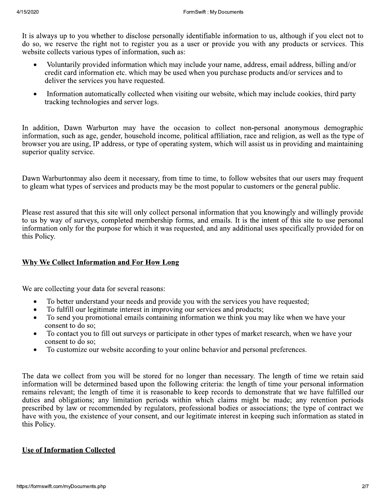It is always up to you whether to disclose personally identifiable information to us, although if you elect not to do so, we reserve the right not to register you as a user or provide you with any products or services. This website collects various types of information, such as:

- Voluntarily provided information which may include your name, address, email address, billing and/or  $\bullet$ credit card information etc. which may be used when you purchase products and/or services and to deliver the services you have requested.
- Information automatically collected when visiting our website, which may include cookies, third party  $\bullet$ tracking technologies and server logs.

In addition, Dawn Warburton may have the occasion to collect non-personal anonymous demographic information, such as age, gender, household income, political affiliation, race and religion, as well as the type of browser you are using, IP address, or type of operating system, which will assist us in providing and maintaining superior quality service.

Dawn Warburtonmay also deem it necessary, from time to time, to follow websites that our users may frequent to gleam what types of services and products may be the most popular to customers or the general public.

Please rest assured that this site will only collect personal information that you knowingly and willingly provide to us by way of surveys, completed membership forms, and emails. It is the intent of this site to use personal information only for the purpose for which it was requested, and any additional uses specifically provided for on this Policy.

# Why We Collect Information and For How Long

We are collecting your data for several reasons:

- To better understand your needs and provide you with the services you have requested;
- To fulfill our legitimate interest in improving our services and products;  $\bullet$
- To send you promotional emails containing information we think you may like when we have your  $\bullet$ consent to do so;
- To contact you to fill out surveys or participate in other types of market research, when we have your  $\bullet$ consent to do so:
- $\bullet$ To customize our website according to your online behavior and personal preferences.

The data we collect from you will be stored for no longer than necessary. The length of time we retain said information will be determined based upon the following criteria: the length of time your personal information remains relevant; the length of time it is reasonable to keep records to demonstrate that we have fulfilled our duties and obligations; any limitation periods within which claims might be made; any retention periods prescribed by law or recommended by regulators, professional bodies or associations; the type of contract we have with you, the existence of your consent, and our legitimate interest in keeping such information as stated in this Policy.

# **Use of Information Collected**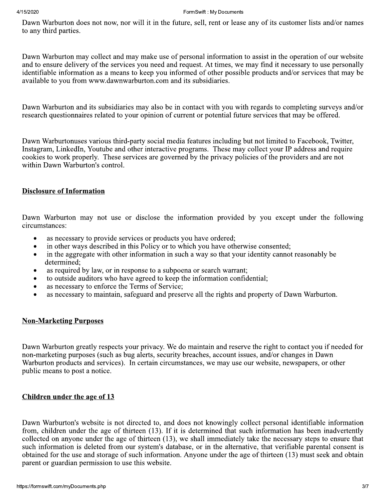#### 4/15/2020

#### FormSwift: My Documents

Dawn Warburton does not now, nor will it in the future, sell, rent or lease any of its customer lists and/or names to any third parties.

Dawn Warburton may collect and may make use of personal information to assist in the operation of our website and to ensure delivery of the services you need and request. At times, we may find it necessary to use personally identifiable information as a means to keep you informed of other possible products and/or services that may be available to you from www.dawnwarburton.com and its subsidiaries.

Dawn Warburton and its subsidiaries may also be in contact with you with regards to completing surveys and/or research questionnaires related to your opinion of current or potential future services that may be offered.

Dawn Warburtonuses various third-party social media features including but not limited to Facebook, Twitter, Instagram, LinkedIn, Youtube and other interactive programs. These may collect your IP address and require cookies to work properly. These services are governed by the privacy policies of the providers and are not within Dawn Warburton's control.

## **Disclosure of Information**

Dawn Warburton may not use or disclose the information provided by you except under the following circumstances:

- $\bullet$ as necessary to provide services or products you have ordered;
- in other ways described in this Policy or to which you have otherwise consented;  $\bullet$
- in the aggregate with other information in such a way so that your identity cannot reasonably be  $\bullet$ determined:
- as required by law, or in response to a subpoena or search warrant;  $\bullet$
- to outside auditors who have agreed to keep the information confidential;
- as necessary to enforce the Terms of Service;  $\bullet$
- as necessary to maintain, safeguard and preserve all the rights and property of Dawn Warburton.

# **Non-Marketing Purposes**

Dawn Warburton greatly respects your privacy. We do maintain and reserve the right to contact you if needed for non-marketing purposes (such as bug alerts, security breaches, account issues, and/or changes in Dawn Warburton products and services). In certain circumstances, we may use our website, newspapers, or other public means to post a notice.

### **Children under the age of 13**

Dawn Warburton's website is not directed to, and does not knowingly collect personal identifiable information from, children under the age of thirteen (13). If it is determined that such information has been inadvertently collected on anyone under the age of thirteen (13), we shall immediately take the necessary steps to ensure that such information is deleted from our system's database, or in the alternative, that verifiable parental consent is obtained for the use and storage of such information. Anyone under the age of thirteen (13) must seek and obtain parent or guardian permission to use this website.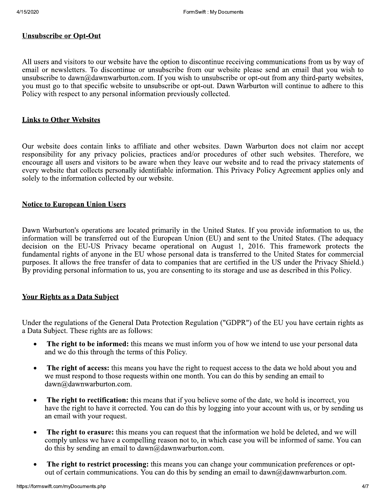## **Unsubscribe or Opt-Out**

All users and visitors to our website have the option to discontinue receiving communications from us by way of email or newsletters. To discontinue or unsubscribe from our website please send an email that you wish to unsubscribe to dawn@dawnwarburton.com. If you wish to unsubscribe or opt-out from any third-party websites, you must go to that specific website to unsubscribe or opt-out. Dawn Warburton will continue to adhere to this Policy with respect to any personal information previously collected.

#### **Links to Other Websites**

Our website does contain links to affiliate and other websites. Dawn Warburton does not claim nor accept responsibility for any privacy policies, practices and/or procedures of other such websites. Therefore, we encourage all users and visitors to be aware when they leave our website and to read the privacy statements of every website that collects personally identifiable information. This Privacy Policy Agreement applies only and solely to the information collected by our website.

#### **Notice to European Union Users**

Dawn Warburton's operations are located primarily in the United States. If you provide information to us, the information will be transferred out of the European Union (EU) and sent to the United States. (The adequacy decision on the EU-US Privacy became operational on August 1, 2016. This framework protects the fundamental rights of anyone in the EU whose personal data is transferred to the United States for commercial purposes. It allows the free transfer of data to companies that are certified in the US under the Privacy Shield.) By providing personal information to us, you are consenting to its storage and use as described in this Policy.

### **Your Rights as a Data Subject**

Under the regulations of the General Data Protection Regulation ("GDPR") of the EU you have certain rights as a Data Subject. These rights are as follows:

- The right to be informed: this means we must inform you of how we intend to use your personal data  $\bullet$ and we do this through the terms of this Policy.
- The right of access: this means you have the right to request access to the data we hold about you and  $\bullet$ we must respond to those requests within one month. You can do this by sending an email to dawn@dawnwarburton.com.
- The right to rectification: this means that if you believe some of the date, we hold is incorrect, you  $\bullet$ have the right to have it corrected. You can do this by logging into your account with us, or by sending us an email with your request.
- $\bullet$ The right to erasure: this means you can request that the information we hold be deleted, and we will comply unless we have a compelling reason not to, in which case you will be informed of same. You can do this by sending an email to  $dawn@dawnwarb (or c)$ .
- The right to restrict processing: this means you can change your communication preferences or opt- $\bullet$ out of certain communications. You can do this by sending an email to dawn@dawnwarburton.com.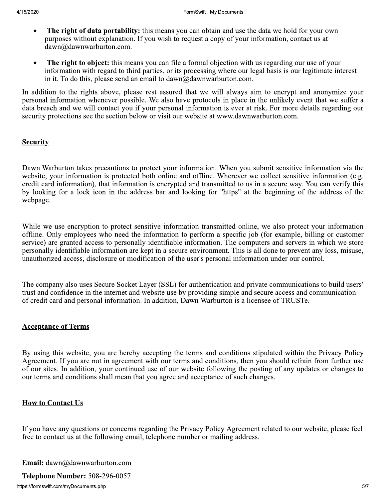- The right of data portability: this means you can obtain and use the data we hold for your own purposes without explanation. If you wish to request a copy of your information, contact us at dawn@dawnwarburton.com.
- Example 19 **FormSwit:** My Documents<br> **Example 2020**<br> **Example 2020**<br> **Example 2020**<br> **Example 2020**<br> **Example 2020**<br> **Example 2020**<br> **Example 2020**<br> **Example 2020**<br> **Example 2020**<br> **Example 2020**<br> **Example 2020**<br> **Example**  $\overline{a}$ • The right to object: this means you can file a formal objection with us regarding our use of your information with regard to third parties, or its processing where our legal basis is our legitimate interest in it. To do this, please send an email to  $dawn@dawnwarburton.com$ .

In addition to the rights above, please rest assured that we will always aim to encrypt and anonymize your personal information whenever possible. We also have protocols in place in the unlikely event that we suffer a data breach and we will contact you if your personal information is ever at risk. For more details regarding our security protections see the section below or visit our website at www.dawnwarburton.com.

## **Security**

Dawn Warburton takes precautions to protect your information. When you submit sensitive information via the website, your information is protected both online and offline. Wherever we collect sensitive information (e.g. credit card information), that information is encrypted and transmitted to us in a secure way. You can verify this by looking for a lock icon in the address bar and looking for "https" at the beginning of the address of the webpage.

While we use encryption to protect sensitive information transmitted online, we also protect your information offline. Only employees who need the information to perform a specific job (for example, billing or customer service) are granted access to personally identifiable information. The computers and servers in which we store personally identifiable information are kept in a secure environment. This is all done to prevent any loss, misuse, unauthorized access, disclosure or modification of the user's personal information under our control.

The company also uses Secure Socket Layer (SSL) for authentication and private communications to build users' trust and confidence in the internet and website use by providing simple and secure access and communication of credit card and personal information. In addition, Dawn Warburton is a licensee of TRUSTe.

Imauthorized access, disclosure or mod<br>The company also uses Secure Socket I<br>trust and confidence in the internet and<br>of credit card and personal information<br>**Acceptance of Terms**<br>By using this website, you are hereby<br>Agre By using this website, you are hereby accepting the terms and conditions stipulated within the Privacy Policy Agreement. If you are not in agreement with our terms and conditions, then you should refrain from further use of our sites. In addition, your continued use of our website following the posting of any updates or changes to our terms and conditions shall mean that you agree and acceptance of such changes.

### How to Contact Us

If you have any questions or concerns regarding the Privacy Policy Agreement related to our website, please feel free to contact us at the following email, telephone number or mailing address.

**Email:** dawn@dawnwarburton.com

Telephone Number: 508-296-0057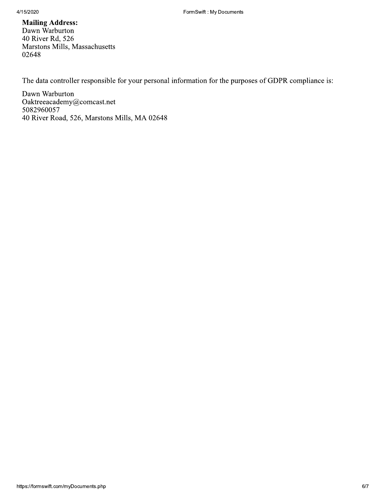### **Mailing Address:** Dawn Warburton 40 River Rd, 526 Marstons Mills, Massachusetts 02648

The data controller responsible for your personal information for the purposes of GDPR compliance is:

Dawn Warburton Oaktreeacademy@comcast.net 5082960057 40 River Road, 526, Marstons Mills, MA 02648